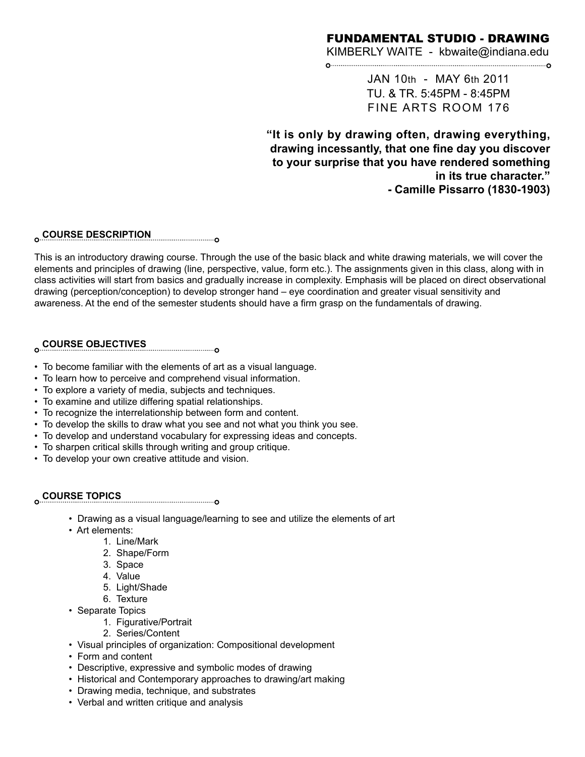## FUNDAMENTAL STUDIO - DRAWING

KIMBERLY WAITE - kbwaite@indiana.edu 0

> JAN 10th - MAY 6th 2011 TU. & TR. 5:45PM - 8:45PM FINE ARTS ROOM 176

**"It is only by drawing often, drawing everything, drawing incessantly, that one fine day you discover to your surprise that you have rendered something in its true character." - Camille Pissarro (1830-1903)**

## **COURSE DESCRIPTION**

This is an introductory drawing course. Through the use of the basic black and white drawing materials, we will cover the elements and principles of drawing (line, perspective, value, form etc.). The assignments given in this class, along with in class activities will start from basics and gradually increase in complexity. Emphasis will be placed on direct observational drawing (perception/conception) to develop stronger hand – eye coordination and greater visual sensitivity and awareness. At the end of the semester students should have a firm grasp on the fundamentals of drawing.

## **COURSE OBJECTIVES**

- To become familiar with the elements of art as a visual language.
- To learn how to perceive and comprehend visual information.
- To explore a variety of media, subjects and techniques.
- To examine and utilize differing spatial relationships.
- To recognize the interrelationship between form and content.
- To develop the skills to draw what you see and not what you think you see.
- To develop and understand vocabulary for expressing ideas and concepts.
- To sharpen critical skills through writing and group critique.

• To develop your own creative attitude and vision.

## **COURSE TOPICS**

- Drawing as a visual language/learning to see and utilize the elements of art
- Art elements:
	- 1. Line/Mark
	- 2. Shape/Form
	- 3. Space
	- 4. Value
	- 5. Light/Shade
	- 6. Texture
- Separate Topics
	- 1. Figurative/Portrait
	- 2. Series/Content
- Visual principles of organization: Compositional development
- Form and content
- Descriptive, expressive and symbolic modes of drawing
- Historical and Contemporary approaches to drawing/art making
- Drawing media, technique, and substrates
- Verbal and written critique and analysis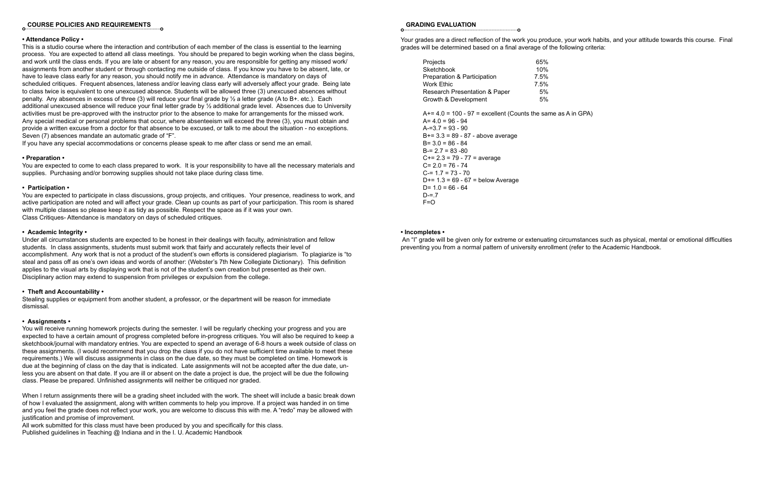# **COURSE POLICIES AND REQUIREMENTS**

#### **• Attendance Policy •**

This is a studio course where the interaction and contribution of each member of the class is essential to the learning process. You are expected to attend all class meetings. You should be prepared to begin working when the class begins, and work until the class ends. If you are late or absent for any reason, you are responsible for getting any missed work/ assignments from another student or through contacting me outside of class. If you know you have to be absent, late, or have to leave class early for any reason, you should notify me in advance. Attendance is mandatory on days of scheduled critiques. Frequent absences, lateness and/or leaving class early will adversely affect your grade. Being late to class twice is equivalent to one unexcused absence. Students will be allowed three (3) unexcused absences without penalty. Any absences in excess of three (3) will reduce your final grade by ½ a letter grade (A to B+. etc.). Each additional unexcused absence will reduce your final letter grade by ½ additional grade level. Absences due to University activities must be pre-approved with the instructor prior to the absence to make for arrangements for the missed work. Any special medical or personal problems that occur, where absenteeism will exceed the three (3), you must obtain and provide a written excuse from a doctor for that absence to be excused, or talk to me about the situation - no exceptions. Seven (7) absences mandate an automatic grade of "F".

If you have any special accommodations or concerns please speak to me after class or send me an email.

#### **• Preparation •**

You are expected to come to each class prepared to work. It is your responsibility to have all the necessary materials and supplies. Purchasing and/or borrowing supplies should not take place during class time.

#### **• Participation •**

You are expected to participate in class discussions, group projects, and critiques. Your presence, readiness to work, and active participation are noted and will affect your grade. Clean up counts as part of your participation. This room is shared with multiple classes so please keep it as tidy as possible. Respect the space as if it was your own. Class Critiques- Attendance is mandatory on days of scheduled critiques.

#### **• Academic Integrity •**

Under all circumstances students are expected to be honest in their dealings with faculty, administration and fellow students. In class assignments, students must submit work that fairly and accurately reflects their level of accomplishment. Any work that is not a product of the student's own efforts is considered plagiarism. To plagiarize is "to steal and pass off as one's own ideas and words of another: (Webster's 7th New Collegiate Dictionary). This definition applies to the visual arts by displaying work that is not of the student's own creation but presented as their own. Disciplinary action may extend to suspension from privileges or expulsion from the college.

#### **• Theft and Accountability •**

Stealing supplies or equipment from another student, a professor, or the department will be reason for immediate dismissal.

#### **• Assignments •**

You will receive running homework projects during the semester. I will be regularly checking your progress and you are expected to have a certain amount of progress completed before in-progress critiques. You will also be required to keep a sketchbook/journal with mandatory entries. You are expected to spend an average of 6-8 hours a week outside of class on these assignments. (I would recommend that you drop the class if you do not have sufficient time available to meet these requirements.) We will discuss assignments in class on the due date, so they must be completed on time. Homework is due at the beginning of class on the day that is indicated. Late assignments will not be accepted after the due date, unless you are absent on that date. If you are ill or absent on the date a project is due, the project will be due the following class. Please be prepared. Unfinished assignments will neither be critiqued nor graded.

When I return assignments there will be a grading sheet included with the work. The sheet will include a basic break down of how I evaluated the assignment, along with written comments to help you improve. If a project was handed in on time and you feel the grade does not reflect your work, you are welcome to discuss this with me. A "redo" may be allowed with justification and promise of improvement.

All work submitted for this class must have been produced by you and specifically for this class. Published guidelines in Teaching @ Indiana and in the I. U. Academic Handbook

#### **GRADING EVALUATION**

Your grades are a direct reflection of the work you produce, your work habits, and your attitude towards this course. Final grades will be determined based on a final average of the following criteria:

| Projects                                 | 65%  |
|------------------------------------------|------|
|                                          |      |
| <b>Sketchbook</b>                        | 10%  |
| <b>Preparation &amp; Participation</b>   | 7.5% |
| Work Ethic                               | 7.5% |
| <b>Research Presentation &amp; Paper</b> | 5%   |
| Growth & Development                     | 5%   |
|                                          |      |

 $A+= 4.0 = 100 - 97$  = excellent (Counts the same as A in GPA)  $A= 4.0 = 96 - 94$  $A = 3.7 = 93 - 90$ B+= 3.3 = 89 - 87 - above average  $B = 3.0 = 86 - 84$  $B = 2.7 = 83 - 80$ C+= 2.3 = 79 - 77 = average  $C= 2.0 = 76 - 74$  $C = 1.7 = 73 - 70$  $D+= 1.3 = 69 - 67 =$  below Average D=  $1.0 = 66 - 64$  $D = .7$  $F=O$ 

#### **• Incompletes •**

 An "I" grade will be given only for extreme or extenuating circumstances such as physical, mental or emotional difficulties preventing you from a normal pattern of university enrollment (refer to the Academic Handbook.